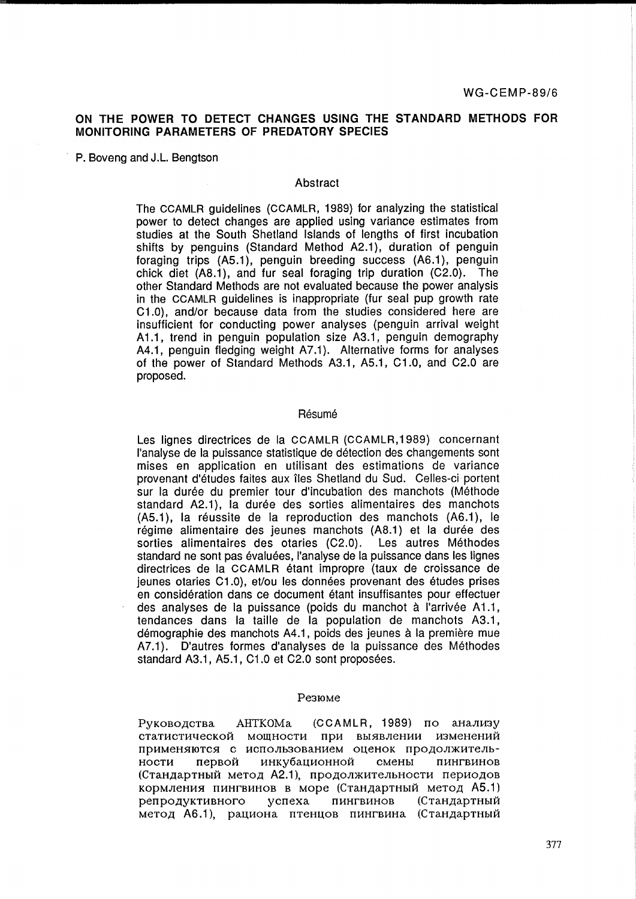# **ON THE POWER TO DETECT CHANGES USING THE STANDARD METHODS FOR MONITORING PARAMETERS OF PREDATORY SPECIES**

P. Boveng and J.L. Bengtson

#### Abstract

The CCAMLR guidelines (CCAMLR, 1989) for analyzing the statistical power to detect changes are applied using variance estimates from studies at the South Shetland Islands of lengths of first incubation shifts by penguins (Standard Method A2.1), duration of penguin foraging trips (AS.1), penguin breeding success (A6.1), penguin chick diet (A8.1), and fur seal foraging trip duration (C2.0). The other Standard Methods are not evaluated because the power analysis in the CCAMLR guidelines is inappropriate (fur seal pup growth rate C1.0), and/or because data from the studies considered here are insufficient for conducting power analyses (penguin arrival weight A 1.1, trend in penguin population size A3.1, penguin demography A4.1, penguin fledging weight A7.1). Alternative forms for analyses of the power of Standard Methods A3.1, AS.1, C1.0, and C2.0 are proposed.

#### Résumé

Les lignes directrices de la CCAMLR (CCAMLR,1989) concernant I'analyse de la puissance statistique de detection des changements sont mises en application en utilisant des estimations de variance provenant d'études faites aux îles Shetland du Sud. Celles-ci portent sur la durée du premier tour d'incubation des manchots (Méthode standard A2.1), la durée des sorties alimentaires des manchots (AS.1), la reussite de la reproduction des manchots (A6.1), le régime alimentaire des jeunes manchots (A8.1) et la durée des sorties alimentaires des otaries (C2.0). Les autres Méthodes standard ne sont pas évaluées, l'analyse de la puissance dans les lignes directrices de la CCAMLR etant impropre (taux de croissance de jeunes otaries C1.0), et/ou les données provenant des études prises en consideration dans ce document etant insuffisantes pour effectuer des analyses de la puissance (poids du manchot à l'arrivée A1.1, tendances dans la taille de la population de manchots A3.1, démographie des manchots A4.1, poids des jeunes à la première mue A7.1). D'autres formes d'analyses de la puissance des Méthodes standard A3.1, A5.1, C1.0 et C2.0 sont proposées.

#### Pe3IOMe

PVKOBO ACTBA AHTKOMA (CCAMLR, 1989) по анализу статистической мощности при выявлении изменений применяются с использованием оценок продолжительности первой инкубационной смены пингвинов (Стандартный метод А2.1), продолжительности периодов кормления пингвинов в море (Стандартный метод A5.1) peпродуктивного успеха пингвинов (Стандартный метод А6.1), рациона птенцов пингвина (Стандартный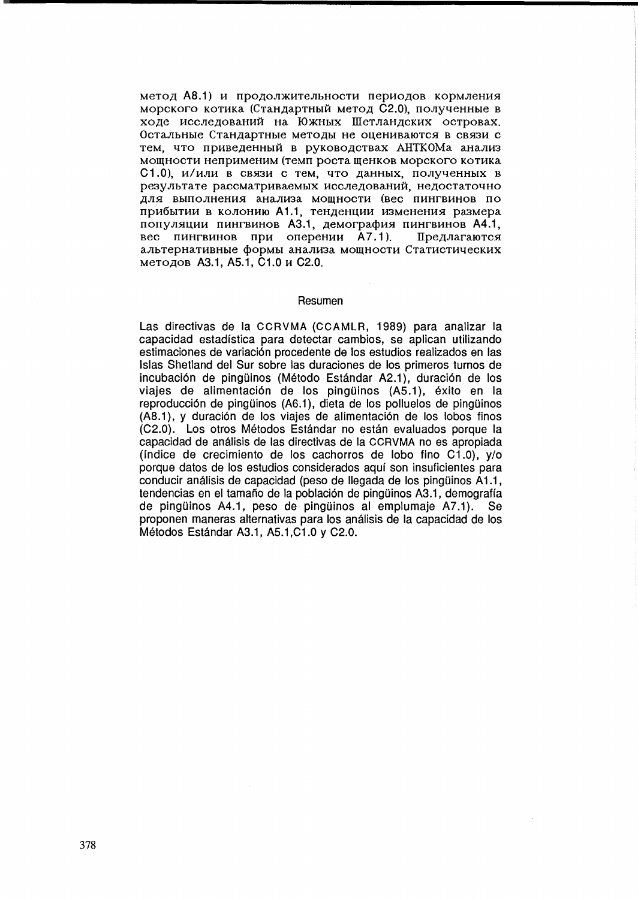метод А8.1) и продолжительности периодов кормления морского котика (Стандартный метод С2.0), полученные в ходе исследований на Южных Шетландских островах. Остальные Стандартные методы не оцениваются в связи с тем, что приведенный в руководствах АНТКОМа анализ мощности неприменим (темп роста шенков морского котика С1.0), и/или в связи с тем, что данных, полученных в результате рассматриваемых исследований, недостаточно для выполнения анализа мошности (вес пингвинов по прибытии в колонию А1.1, тенденции изменения размера популяции пингвинов А3.1, демография пингвинов А4.1, вес пингвинов при оперении А7.1). Предлагаются альтернативные формы анализа мощности Статистических методов А3.1, А5.1, С1.0 и С2.0.

#### Resumen

Las directivas de la CCRVMA (CCAMLR, 1989) para analizar la capacidad estadfstica para detectar cambios, se aplican utilizando estimaciones de variación procedente de los estudios realizados en las Islas Shetland del Sur sobre las duraciones de los primeros turnos de incubación de pingüinos (Método Estándar A2.1), duración de los viajes de alimentación de los pingüinos (A5.1), éxito en la reproducción de pingüinos (A6.1), dieta de los polluelos de pingüinos (A8.1), y duración de los viajes de alimentación de los lobos finos (C2.0). Los otros Metodos Estandar no estan evaluados porque la capacidad de analisis de las directivas de la CCRVMA no es apropiada (índice de crecimiento de los cachorros de lobo fino  $C1.0$ ), y/o porque datos de los estudios considerados aquf son insuficientes para conducir análisis de capacidad (peso de llegada de los pingüinos A1.1, tendencias en el tamaño de la población de pingüinos A3.1, demografía de pingüinos A4.1, peso de pingüinos al emplumaje A7.1). Se proponen maneras alternativas para los analisis de la capacidad de los Metodos Estandar A3.1, AS.1 ,C1.0 Y C2.0.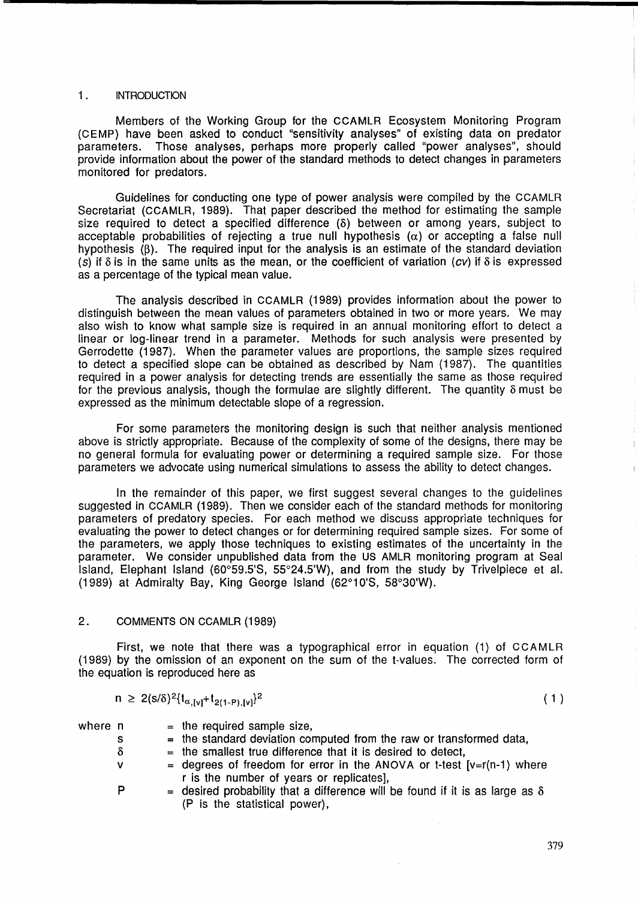### 1. INTRODUCTION

Members of the Working Group for the CCAMLR Ecosystem Monitoring Program (CEMP) have been asked to conduct "sensitivity analyses" of existing data on predator Those analyses, perhaps more properly called "power analyses", should provide information about the power of the standard methods to detect changes in parameters monitored for predators.

Guidelines for conducting one type of power analysis were compiled by the CCAMLR Secretariat (CCAMLR, 1989). That paper described the method for estimating the sample size required to detect a specified difference  $(\delta)$  between or among years, subject to acceptable probabilities of rejecting a true null hypothesis  $(\alpha)$  or accepting a false null hypothesis  $(8)$ . The required input for the analysis is an estimate of the standard deviation (s) if  $\delta$  is in the same units as the mean, or the coefficient of variation (cv) if  $\delta$  is expressed as a percentage of the typical mean value.

The analysis described in CCAMLR (1989) provides information about the power to distinguish between the mean values of parameters obtained in two or more years. We may also wish to know what sample size is required in an annual monitoring effort to detect a linear or log-linear trend in a parameter. Methods for such analysis were presented by Gerrodette (1987). When the parameter values are proportions, the sample sizes required to detect a specified slope can be obtained as described by Nam (1987). The quantities required in a power analysis for detecting trends are essentially the same as those required for the previous analysis, though the formulae are slightly different. The quantity  $\delta$  must be expressed as the minimum detectable slope of a regression.

For some parameters the monitoring design is such that neither analysis mentioned above is strictly appropriate. Because of the complexity of some of the designs, there may be no general formula for evaluating power or determining a required sample size. For those parameters we advocate using numerical simulations to assess the ability to detect changes.

In the remainder of this paper, we first suggest several changes to the guidelines suggested in CCAMLR (1989). Then we consider each of the standard methods for monitoring parameters of predatory species. For each method we discuss appropriate techniques for evaluating the power to detect changes or for determining required sample sizes. For some of the parameters, we apply those techniques to existing estimates of the uncertainty in the parameter. We consider unpublished data from the US AMLR monitoring program at Seal Island, Elephant Island (60°59.5'S, 55°24.5'W), and from the study by Trivelpiece et al. (1989) at Admiralty Bay, King George Island (62°10'S, 58°30'W).

# 2. COMMENTS ON CCAMLR (1989)

First, we note that there was a typographical error in equation (1) of CCAMLR (1989) by the omission of an exponent on the sum of the t-values. The corrected form of the equation is reproduced here as

$$
n \geq 2(s/\delta)^2 \{t_{\alpha,[v]} + t_{2(1-P),[v]} \}^2
$$

 $(1)$ 

where n

 $=$  the required sample size,

- s  $=$  the standard deviation computed from the raw or transformed data,
- $\delta$  $=$  the smallest true difference that it is desired to detect,
- v = degrees of freedom for error in the ANOVA or t-test  $[v=r(n-1)]$  where r is the number of years or replicates],
- P = desired probability that a difference will be found if it is as large as  $\delta$ (P is the statistical power),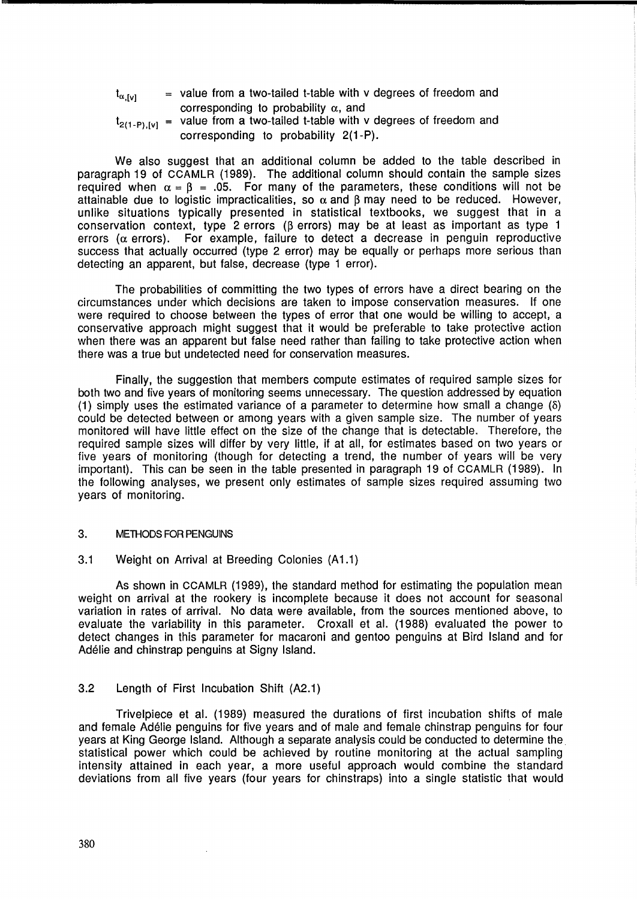| $t_{\alpha,[\nu]}$ | $=$ value from a two-tailed t-table with v degrees of freedom and                |
|--------------------|----------------------------------------------------------------------------------|
|                    | corresponding to probability $\alpha$ , and                                      |
|                    | $t_{2(1-P),[V]}$ = value from a two-tailed t-table with v degrees of freedom and |

corresponding to probability 2(1-P).

We also suggest that an additional column be added to the table described in paragraph 19 of CCAMLR (1989). The additional column should contain the sample sizes required when  $\alpha = \beta = .05$ . For many of the parameters, these conditions will not be attainable due to logistic impracticalities, so  $\alpha$  and  $\beta$  may need to be reduced. However, unlike situations typically presented in statistical textbooks, we suggest that in a conservation context, type 2 errors ( $\beta$  errors) may be at least as important as type 1 errors ( $\alpha$  errors). For example, failure to detect a decrease in penguin reproductive success that actually occurred (type 2 error) may be equally or perhaps more serious than detecting an apparent, but false, decrease (type 1 error).

The probabilities of committing the two types of errors have a direct bearing on the circumstances under which decisions are taken to impose conservation measures. If one were required to choose between the types of error that one would be willing to accept, a conservative approach might suggest that it would be preferable to take protective action when there was an apparent but false need rather than failing to take protective action when there was a true but undetected need for conservation measures.

Finally, the suggestion that members compute estimates of required sample sizes for both two and five years of monitoring seems unnecessary. The question addressed by equation (1) simply uses the estimated variance of a parameter to determine how small a change  $(\delta)$ could be detected between or among years with a given sample size. The number of years monitored will have little effect on the size of the change that is detectable. Therefore, the required sample sizes will differ by very little, if at all, for estimates based on two years or five years of monitoring (though for detecting a trend, the number of years will be very important). This can be seen in the table presented in paragraph 19 of CCAMLR (1989). In the following analyses, we present only estimates of sample sizes required assuming two years of monitoring.

### 3. METHODS FOR PENGUINS

3.1 Weight on Arrival at Breeding Colonies (A1.1)

As shown in CCAMLR (1989), the standard method for estimating the population mean weight on arrival at the rookery is incomplete because it does not account for seasonal variation in rates of arrival. No data were available, from the sources mentioned above, to evaluate the variability in this parameter. Croxall et al. (1988) evaluated the power to detect changes in this parameter for macaroni and gentoo penguins at Bird Island and for Adélie and chinstrap penguins at Signy Island.

# 3.2 Length of First Incubation Shift (A2.1)

Trivelpiece et al. (1989) measured the durations of first incubation shifts of male and female Adelie penguins for five years and of male and female chinstrap penguins for four years at King George Island. Although a separate analysis could be conducted to determine the statistical power which could be achieved by routine monitoring at the actual sampling intensity attained in each year, a more useful approach would combine the standard deviations from all five years (four years for chinstraps) into a single statistic that would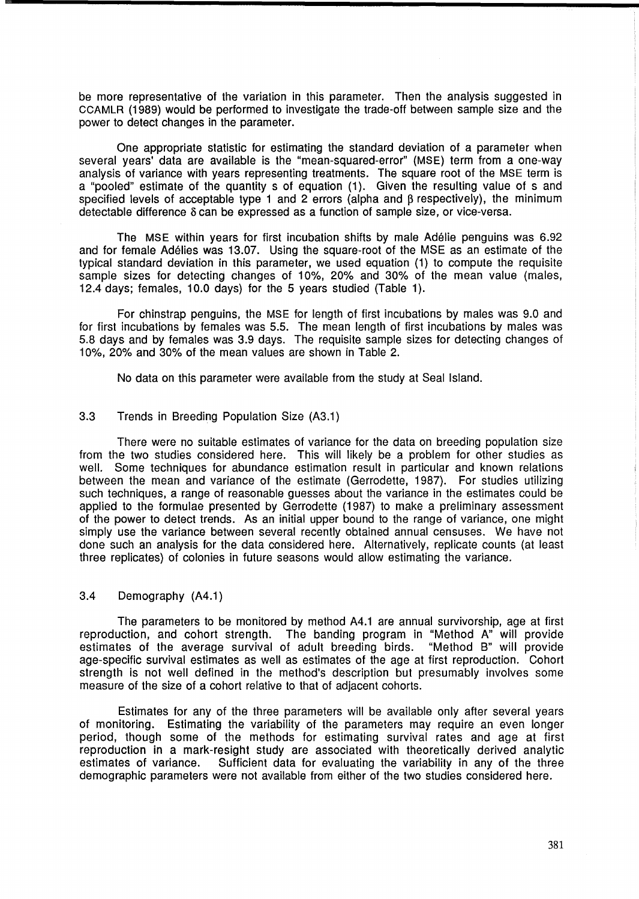be more representative of the variation in this parameter. Then the analysis suggested in CCAMLR (1989) would be performed to investigate the trade-off between sample size and the power to detect changes in the parameter.

One appropriate statistic for estimating the standard deviation of a parameter when several years' data are available is the "mean-squared-error" (MSE) term from a one-way analysis of variance with years representing treatments. The square root of the MSE term is a "pooled" estimate of the quantity s of equation (1). Given the resulting value of s and specified levels of acceptable type 1 and 2 errors (alpha and  $\beta$  respectively), the minimum detectable difference  $\delta$  can be expressed as a function of sample size, or vice-versa.

The MSE within years for first incubation shifts by male Adelie penguins was 6.92 and for female Adelies was 13.07. Using the square-root of the MSE as an estimate of the typical standard deviation in this parameter, we used equation (1) to compute the requisite sample sizes for detecting changes of 10%, 20% and 30% of the mean value (males, 12.4 days; females, 10.0 days) for the 5 years studied (Table 1).

For chinstrap penguins, the MSE for length of first incubations by males was 9.0 and for first incubations by females was 5.5. The mean length of first incubations by males was 5.8 days and by females was 3.9 days. The requisite sample sizes for detecting changes of 10%, 20% and 30% of the mean values are shown in Table 2.

No data on this parameter were available from the study at Seal Island.

# 3.3 Trends in Breeding Population Size (A3.1)

There were no suitable estimates of variance for the data on breeding population size from the two studies considered here. This will likely be a problem for other studies as well. Some techniques for abundance estimation result in particular and known relations between the mean and variance of the estimate (Gerrodette, 1987). For studies utilizing such techniques, a range of reasonable guesses about the variance in the estimates could be applied to the formulae presented by Gerrodette (1987) to make a preliminary assessment of the power to detect trends. As an initial upper bound to the range of variance, one might simply use the variance between several recently obtained annual censuses. We have not done such an analysis for the data considered here. Alternatively, replicate counts (at least three replicates) of colonies in future seasons would allow estimating the variance.

# 3.4 Demography (A4.1)

The parameters to be monitored by method A4.1 are annual survivorship, age at first reproduction, and cohort strength. The banding program in "Method A" will provide estimates of the average survival of adult breeding birds. "Method B" will provide age-specific survival estimates as well as estimates of the age at first reproduction. Cohort strength is not well defined in the method's description but presumably involves some measure of the size of a cohort relative to that of adjacent cohorts.

Estimates for any of the three parameters will be available only after several years of monitoring. Estimating the variability of the parameters may require an even longer period, though some of the methods for estimating survival rates and age at first reproduction in a mark-resight study are associated with theoretically derived analytic estimates of variance. Sufficient data for evaluating the variability in any of the three demographic parameters were not available from either of the two studies considered here.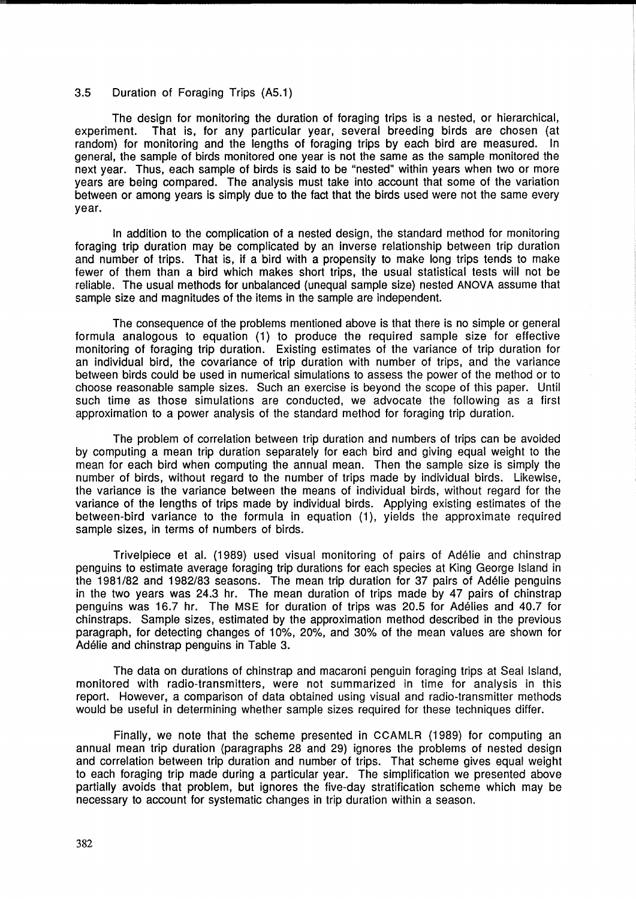## 3.5 Duration of Foraging Trips (A5.1)

The design for monitoring the duration of foraging trips is a nested, or hierarchical, experiment. That is, for any particular year, several breeding birds are chosen (at random) for monitoring and the lengths of foraging trips by each bird are measured. In general, the sample of birds monitored one year is not the same as the sample monitored the next year. Thus, each sample of birds is said to be "nested" within years when two or more years are being compared. The analysis must take into account that some of the variation between or among years is simply due to the fact that the birds used were not the same every year.

In addition to the complication of a nested design, the standard method for monitoring foraging trip duration may be complicated by an inverse relationship between trip duration and number of trips. That is, if a bird with a propensity to make long trips tends to make fewer of them than a bird which makes short trips, the usual statistical tests will not be reliable. The usual methods for unbalanced (unequal sample size) nested ANOVA assume that sample size and magnitudes of the items in the sample are independent.

The consequence of the problems mentioned above is that there is no simple or general formula analogous to equation (1) to produce the required sample size for effective monitoring of foraging trip duration. Existing estimates of the variance of trip duration for an individual bird, the covariance of trip duration with number of trips, and the variance between birds could be used in numerical simulations to assess the power of the method or to choose reasonable sample sizes. Such an exercise is beyond the scope of this paper. Until such time as those simulations are conducted, we advocate the following as a first approximation to a power analysis of the standard method for foraging trip duration.

The problem of correlation between trip duration and numbers of trips can be avoided by computing a mean trip duration separately for each bird and giving equal weight to the mean for each bird when computing the annual mean. Then the sample size is simply the number of birds, without regard to the number of trips made by individual birds. Likewise, the variance is the variance between the means of individual birds, without regard for the variance of the lengths of trips made by individual birds. Applying existing estimates of the between-bird variance to the formula in equation (1), yields the approximate required sample sizes, in terms of numbers of birds.

Trivelpiece et al. (1989) used visual monitoring of pairs of Adelie and chinstrap penguins to estimate average foraging trip durations for each species at King George Island in the 1981/82 and 1982/83 seasons. The mean trip duration for 37 pairs of Adelie penguins in the two years was 24.3 hr. The mean duration of trips made by 47 pairs of chinstrap penguins was 16.7 hr. The MSE for duration of trips was 20.5 for Adelies and 40.7 for chinstraps. Sample sizes, estimated by the approximation method described in the previous paragraph, for detecting changes of 10%, 20%, and 30% of the mean values are shown for Adelie and chinstrap penguins in Table 3.

The data on durations of chinstrap and macaroni penguin foraging trips at Seal Island, monitored with radio-transmitters, were not summarized in time for analysis in this report. However, a comparison of data obtained using visual and radio-transmitter methods would be useful in determining whether sample sizes required for these techniques differ.

Finally, we note that the scheme presented in CCAMLR (1989) for computing an annual mean trip duration (paragraphs 28 and 29) ignores the problems of nested design and correlation between trip duration and number of trips. That scheme gives equal weight to each foraging trip made during a particular year. The simplification we presented above partially avoids that problem, but ignores the five-day stratification scheme which may be necessary to account for systematic changes in trip duration within a season.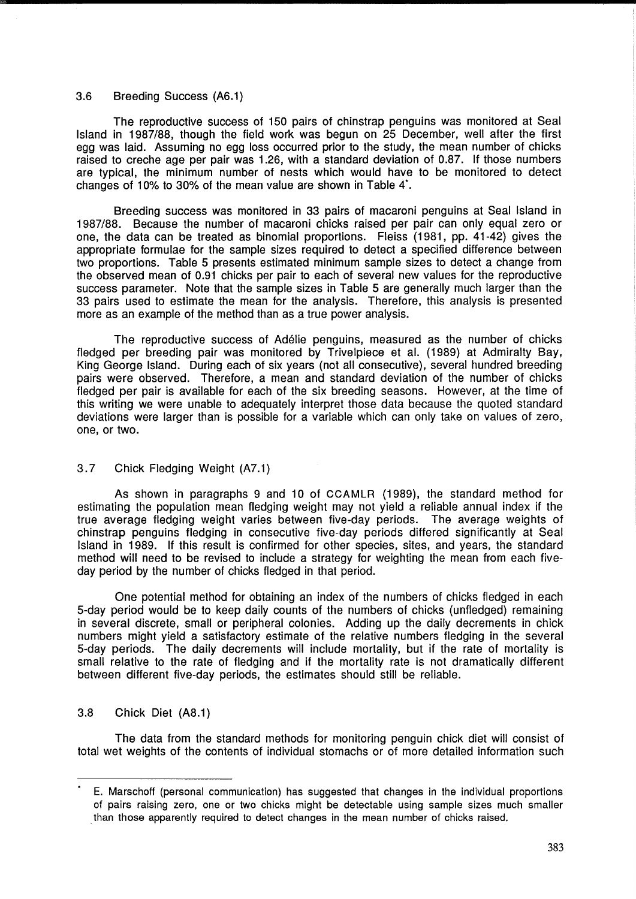## 3.6 Breeding Success (A6.1)

The reproductive success of 150 pairs of chinstrap penguins was monitored at Seal Island in 1987/88, though the field work was begun on 25 December, well after the first egg was laid. Assuming no egg loss occurred prior to the study, the mean number of chicks raised to creche age per pair was 1.26, with a standard deviation of 0.87. If those numbers are typical, the minimum number of nests which would have to be monitored to detect changes of 10% to 30% of the mean value are shown in Table 4\*.

Breeding success was monitored in 33 pairs of macaroni penguins at Seal Island in 1987/88. Because the number of macaroni chicks raised per pair can only equal zero or one, the data can be treated as binomial proportions. Fleiss (1981, pp. 41-42) gives the appropriate formulae for the sample sizes required to detect a specified difference between two proportions. Table 5 presents estimated minimum sample sizes to detect a change from the observed mean of 0.91 chicks per pair to each of several new values for the reproductive success parameter. Note that the sample sizes in Table 5 are generally much larger than the 33 pairs used to estimate the mean for the analysis. Therefore, this analysis is presented more as an example of the method than as a true power analysis.

The reproductive success of Adelie penguins, measured as the number of chicks fledged per breeding pair was monitored by Trivelpiece et al. (1989) at Admiralty Bay, King George Island. During each of six years (not all consecutive), several hundred breeding pairs were observed. Therefore, a mean and standard deviation of the number of chicks fledged per pair is available for each of the six breeding seasons. However, at the time of this writing we were unable to adequately interpret those data because the quoted standard deviations were larger than is possible for a variable which can only take on values of zero, one, or two.

# 3.7 Chick Fledging Weight (A7.1)

As shown in paragraphs 9 and 10 of CCAMLR (1989), the standard method for estimating the population mean fledging weight may not yield a reliable annual index if the true average fledging weight varies between five-day periods. The average weights of chinstrap penguins fledging in consecutive five-day periods differed significantly at Seal Island in 1989. If this result is confirmed for other species, sites, and years, the standard method will need to be revised to include a strategy for weighting the mean from each fiveday period by the number of chicks fledged in that period.

One potential method for obtaining an index of the numbers of chicks fledged in each 5-day period would be to keep daily counts of the numbers of chicks (unfledged) remaining in several discrete, small or peripheral colonies. Adding up the daily decrements in chick numbers might yield a satisfactory estimate of the relative numbers fledging in the several 5-day periods. The daily decrements will include mortality, but if the rate of mortality is small relative to the rate of fledging and if the mortality rate is not dramatically different between different five-day periods, the estimates should still be reliable.

# 3.8 Chick Diet (A8.1)

The data from the standard methods for monitoring penguin chick diet will consist of total wet weights of the contents of individual stomachs or of more detailed information such

E. Marschoff (personal communication) has suggested that changes in the individual proportions of pairs raising zero, one or two chicks might be detectable using sample sizes much smaller . than those apparently required to detect changes in the mean number of chicks raised.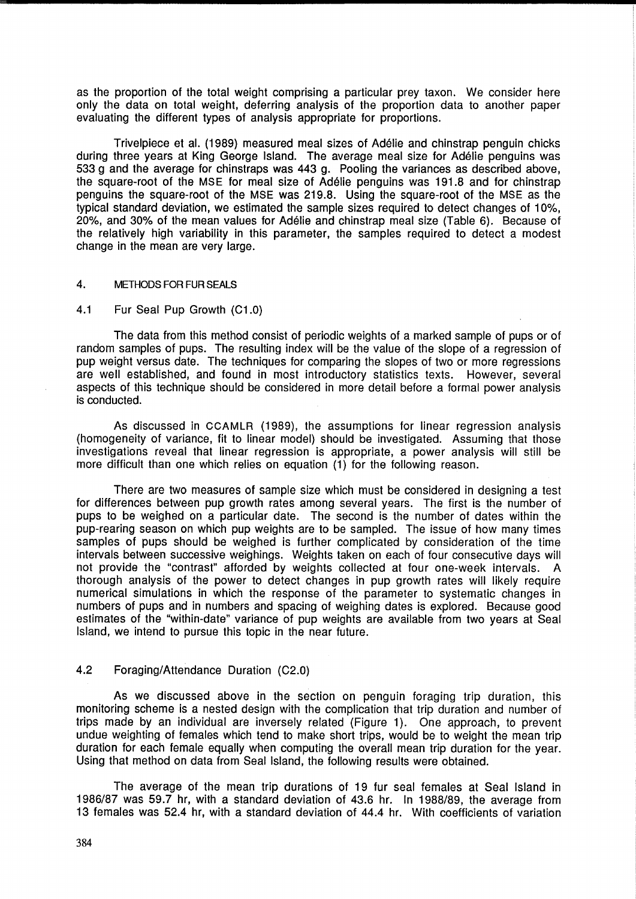as the proportion of the total weight comprising a particular prey taxon. We consider here only the data on total weight, deferring analysis of the proportion data to another paper evaluating the different types of analysis appropriate for proportions.

Trivelpiece et al. (1989) measured meal sizes of Adelie and chinstrap penguin chicks during three years at King George Island. The average meal size for Adélie penguins was 533 g and the average for chinstraps was 443 g. Pooling the variances as described above, the square-root of the MSE for meal size of Adelie penguins was 191.8 and for chinstrap penguins the square-root of the MSE was 219.8. Using the square-root of the MSE as the typical standard deviation, we estimated the sample sizes required to detect changes of 10%, 20%, and 30% of the mean values for Adelie and chinstrap meal size (Table 6). Because of the relatively high variability in this parameter, the samples required to detect a modest change in the mean are very large.

### 4. METHODS FOR FUR SEALS

### 4.1 Fur Seal Pup Growth (C1.0)

The data from this method consist of periodic weights of a marked sample of pups or of random samples of pups. The resulting index will be the value of the slope of a regression of pup weight versus date. The techniques for comparing the slopes of two or more regressions are well established, and found in most introductory statistics texts. However, several aspects of this technique should be considered in more detail before a formal power analysis is conducted.

As discussed in CCAMLR (1989), the assumptions for linear regression analysis (homogeneity of variance, fit to linear model) should be investigated. Assuming that those investigations reveal that linear regression is appropriate, a power analysis will still be more difficult than one which relies on equation (1) for the following reason.

There are two measures of sample size which must be considered in designing a test for differences between pup growth rates among several years. The first is the number of pups to be weighed on a particular date. The second is the number of dates within the pup-rearing season on which pup weights are to be sampled. The issue of how many times samples of pups should be weighed is further complicated by consideration of the time intervals between successive weighings. Weights taken on each of four consecutive days will not provide the "contrast" afforded by weights collected at four one-week intervals. A thorough analysis of the power to detect changes in pup growth rates will likely require numerical simulations in which the response of the parameter to systematic changes in numbers of pups and in numbers and spacing of weighing dates is explored. Because good estimates of the "within-date" variance of pup weights are available from two years at Seal Island, we intend to pursue this topic in the near future.

### 4.2 Foraging/Attendance Duration (C2.0)

As we discussed above in the section on penguin foraging trip duration, this monitoring scheme is a nested design with the complication that trip duration and number of trips made by an individual are inversely related (Figure 1). One approach, to prevent undue weighting of females which tend to make short trips, would be to weight the mean trip duration for each female equally when computing the overall mean trip duration for the year. Using that method on data from Seal Island, the following results were obtained.

The average of the mean trip durations of 19 fur seal females at Seal Island in 1986/87 was 59.7 hr, with a standard deviation of 43.6 hr. In 1988/89, the average from 13 females was 52.4 hr, with a standard deviation of 44.4 hr. With coefficients of variation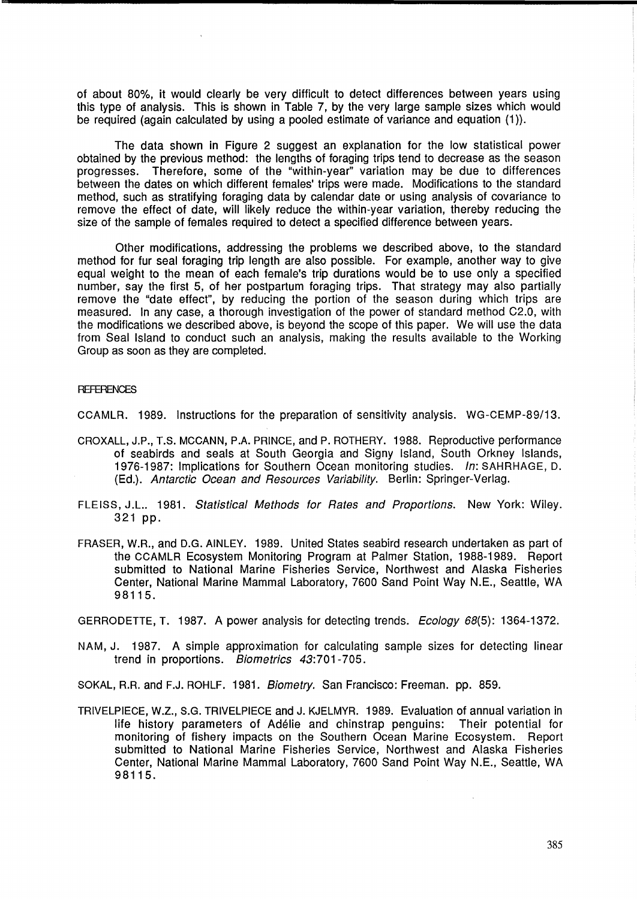of about 80%, it would clearly be very difficult to detect differences between years using this type of analysis. This is shown in Table 7, by the very large sample sizes which would be required (again calculated by using a pooled estimate of variance and equation (1)).

The data shown in Figure 2 suggest an explanation for the low statistical power obtained by the previous method: the lengths of foraging trips tend to decrease as the season progresses. Therefore, some of the "within-year" variation may be due to differences between the dates on which different females' trips were made. Modifications to the standard method, such as stratifying foraging data by calendar date or using analysis of covariance to remove the effect of date, will likely reduce the within-year variation, thereby reducing the size of the sample of females required to detect a specified difference between years.

Other modifications, addressing the problems we described above, to the standard method for fur seal foraging trip length are also possible. For example, another way to give equal weight to the mean of each female's trip durations would be to use only a specified number, say the first 5, of her postpartum foraging trips. That strategy may also partially remove the "date effect", by reducing the portion of the season during which trips are measured. In any case, a thorough investigation of the power of standard method C2.0, with the modifications we described above, is beyond the scope of this paper. We will use the data from Seal Island to conduct such an analysis, making the results available to the Working Group as soon as they are completed.

#### **REFERENCES**

CCAMLR. 1989. Instructions for the preparation of sensitivity analysis. WG-CEMP-89/13.

- CROXALL, J.P., T.S. MCCANN, P.A. PRINCE, and P. ROTHERY. 1988. Reproductive performance of seabirds and seals at South Georgia and Signy Island, South Orkney Islands, 1976-1987: Implications for Southern Ocean monitoring studies. In: SAHRHAGE, D. (Ed.). Antarctic Ocean and Resources Variability. Berlin: Springer-Verlag.
- FLEISS, J.L.. 1981. Statistical Methods for Rates and Proportions. New York: Wiley. 321 pp.
- FRASER, W.R., and D.G. AINLEY. 1989. United States seabird research undertaken as part of the CCAMLR Ecosystem Monitoring Program at Palmer Station, 1988-1989. Report submitted to National Marine Fisheries Service, Northwest and Alaska Fisheries Center, National Marine Mammal Laboratory, 7600 Sand Point Way N.E., Seattle, WA 98115.

GERRODETTE, T. 1987. A power analysis for detecting trends. Ecology 68(5): 1364-1372.

NAM, J. 1987. A simple approximation for calculating sample sizes for detecting linear trend in proportions. Biometrics 43:701-705.

SOKAL, R.R. and F.J. ROHLF. 1981. Biometry. San Francisco: Freeman. pp. 859.

TRIVELPIECE, W.Z., S.G. TRIVELPIECE and J. KJELMYR. 1989. Evaluation of annual variation in life history parameters of Adelie and chinstrap penguins: Their potential for monitoring of fishery impacts on the Southern Ocean Marine Ecosystem. Report submitted to National Marine Fisheries Service, Northwest and Alaska Fisheries Center, National Marine Mammal Laboratory, 7600 Sand Point Way N.E., Seattle, WA 98115.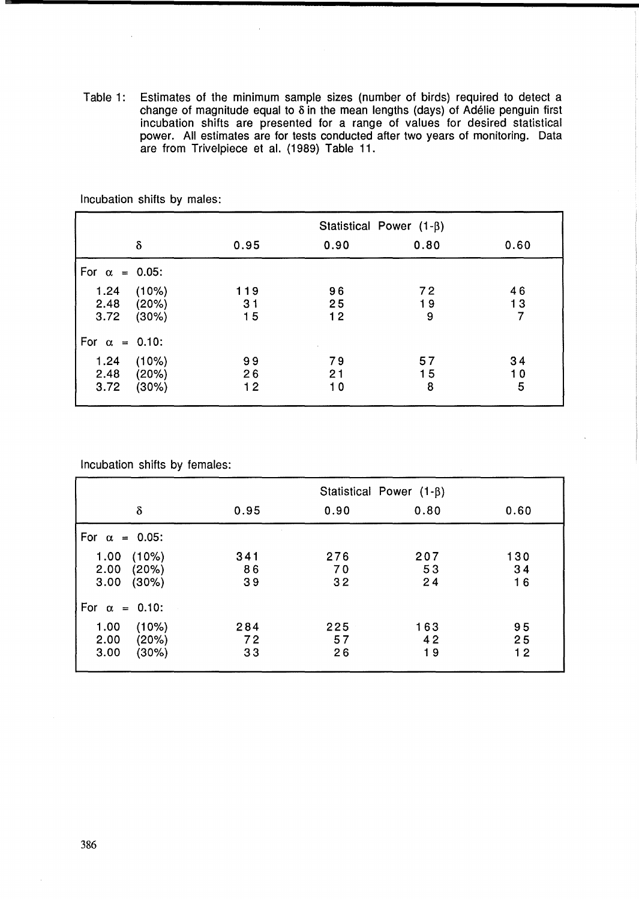Table 1: Estimates of the minimum sample sizes (number of birds) required to detect a change of magnitude equal to 8 in the mean lengths (days) of Adélie penguin first incubation shifts are presented for a range of values for desired statistical power. All estimates are for tests conducted after two years of monitoring. Data are from Trivelpiece et al. (1989) Table 11.

|                       |                         |                 | Statistical Power $(1-\beta)$ |               |                            |  |  |
|-----------------------|-------------------------|-----------------|-------------------------------|---------------|----------------------------|--|--|
|                       | δ                       | 0.95            | 0.90                          | 0.80          | 0.60                       |  |  |
| For $\alpha = 0.05$ : |                         |                 |                               |               |                            |  |  |
| 1.24<br>2.48<br>3.72  | (10%)<br>(20%)<br>(30%) | 119<br>31<br>15 | 96<br>25<br>12                | 72<br>19<br>9 | 46<br>13<br>$\overline{7}$ |  |  |
| For $\alpha = 0.10$ : |                         |                 |                               |               |                            |  |  |
| 1.24<br>2.48<br>3.72  | (10%)<br>(20%)<br>(30%) | 99<br>26<br>12  | 79<br>21<br>10                | 57<br>15<br>8 | 34<br>10<br>5              |  |  |

Incubation shifts by males:

Incubation shifts by females:

|                                                 | Statistical Power $(1-\beta)$ |                 |                 |                 |
|-------------------------------------------------|-------------------------------|-----------------|-----------------|-----------------|
| $\delta$                                        | 0.95                          | 0.90            | 0.80            | 0.60            |
| For $\alpha = 0.05$ :                           |                               |                 |                 |                 |
| (10%)<br>1.00<br>2.00<br>(20%)<br>3.00<br>(30%) | 341<br>86<br>39               | 276<br>70<br>32 | 207<br>53<br>24 | 130<br>34<br>16 |
| For $\alpha = 0.10$ :                           |                               |                 |                 |                 |
| 1.00<br>(10%)<br>2.00<br>(20%)<br>3.00<br>(30%) | 284<br>72<br>33               | 225<br>57<br>26 | 163<br>42<br>19 | 95<br>25<br>12  |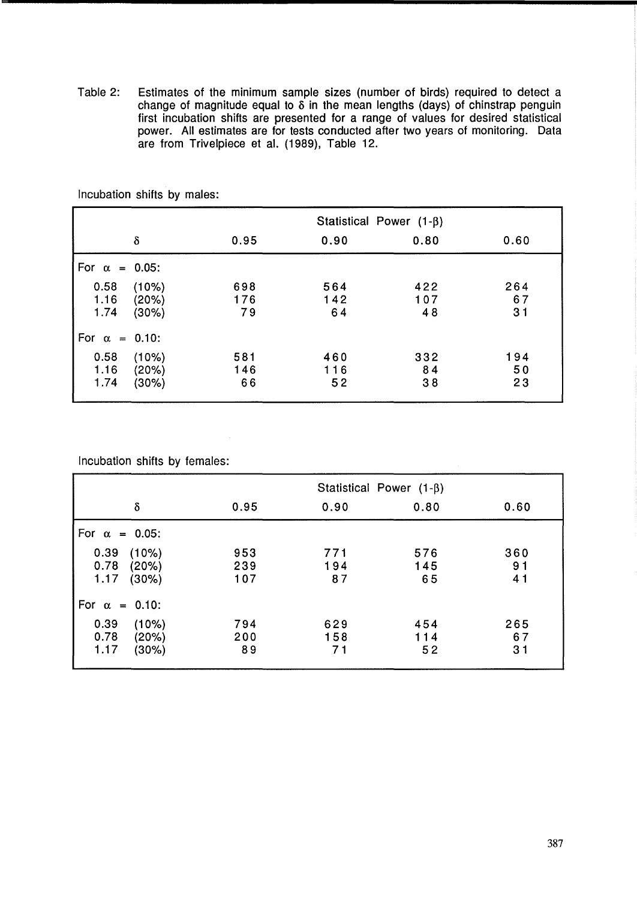Table 2: Estimates of the minimum sample sizes (number of birds) required to detect a change of magnitude equal to  $\delta$  in the mean lengths (days) of chinstrap penguin first incubation shifts are presented for a range of values for desired statistical power. All estimates are for tests conducted after two years of monitoring. Data are from Trivelpiece et al. (1989), Table 12.

|                       |                         |                  | Statistical Power $(1-\beta)$ |                  |                 |  |  |
|-----------------------|-------------------------|------------------|-------------------------------|------------------|-----------------|--|--|
|                       | δ                       | 0.95             | 0.90                          | 0.80             | 0.60            |  |  |
| For $\alpha = 0.05$ : |                         |                  |                               |                  |                 |  |  |
| 0.58<br>1.16<br>1.74  | (10%)<br>(20%)<br>(30%) | 698<br>176<br>79 | 564<br>142<br>64              | 422<br>107<br>48 | 264<br>67<br>31 |  |  |
| For $\alpha = 0.10$ : |                         |                  |                               |                  |                 |  |  |
| 0.58<br>1.16<br>1.74  | (10%)<br>(20%)<br>(30%) | 581<br>146<br>66 | 460<br>116<br>52              | 332<br>84<br>38  | 194<br>50<br>23 |  |  |

Incubation shifts by males:

Incubation shifts by females:

|                                                    | Statistical Power $(1-\beta)$ |                  |                  |                             |  |
|----------------------------------------------------|-------------------------------|------------------|------------------|-----------------------------|--|
| $\delta$                                           | 0.95                          | 0.90             | 0.80             | 0.60                        |  |
| For $\alpha = 0.05$ :                              |                               |                  |                  |                             |  |
| 0.39<br>(10%)<br>0.78<br>(20%)<br>1.17<br>(30%)    | 953<br>239<br>107             | 771<br>194<br>87 | 576<br>145<br>65 | 360<br>9 <sub>1</sub><br>41 |  |
| For $\alpha = 0.10$ :                              |                               |                  |                  |                             |  |
| 0.39<br>(10%)<br>0.78<br>(20%)<br>1.17<br>$(30\%)$ | 794<br>200<br>89              | 629<br>158<br>71 | 454<br>114<br>52 | 265<br>67<br>3 <sub>1</sub> |  |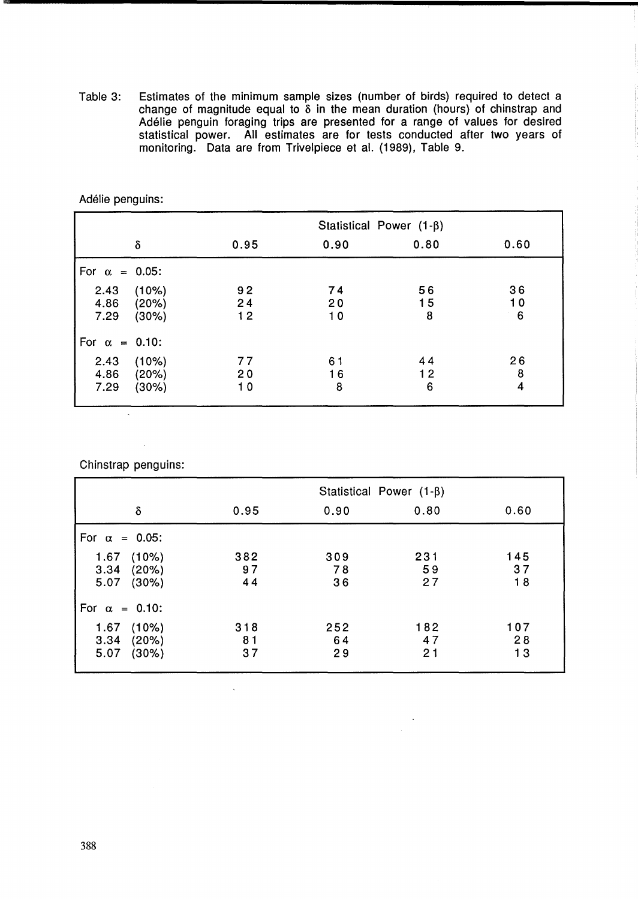Table 3: Estimates of the minimum sample sizes (number of birds) required to detect a change of magnitude equal to  $\delta$  in the mean duration (hours) of chinstrap and Adelie penguin foraging trips are presented for a range of values for desired statistical power. All estimates are for tests conducted after two years of monitoring. Data are from Trivelpiece et al. (1989), Table 9.

|                       |       |      | Statistical Power $(1-\beta)$ |      |                 |  |  |
|-----------------------|-------|------|-------------------------------|------|-----------------|--|--|
|                       | δ     | 0.95 | 0.90                          | 0.80 | 0.60            |  |  |
| For $\alpha = 0.05$ : |       |      |                               |      |                 |  |  |
| 2.43                  | (10%) | 92   | 74                            | 56   | 36              |  |  |
| 4.86                  | (20%) | 24   | 20                            | 15   | 10              |  |  |
| 7.29                  | (30%) | 12   | 10                            | 8    | $6\phantom{1}6$ |  |  |
| For $\alpha = 0.10$ : |       |      |                               |      |                 |  |  |
| 2.43                  | (10%) | 77   | 61                            | 44   | 26              |  |  |
| 4.86                  | (20%) | 20   | 16                            | 12   | 8               |  |  |
| 7.29                  | (30%) | 10   | 8                             | 6    | 4               |  |  |

Adelie penguins:

Chinstrap penguins:

|                                                 |                 | Statistical Power $(1-\beta)$ |                 |                 |  |  |
|-------------------------------------------------|-----------------|-------------------------------|-----------------|-----------------|--|--|
| δ                                               | 0.95            | 0.90                          | 0.80            | 0.60            |  |  |
| For $\alpha = 0.05$ :                           |                 |                               |                 |                 |  |  |
| (10%)<br>1.67<br>3.34<br>(20%)<br>(30%)<br>5.07 | 382<br>97<br>44 | 309<br>78<br>36               | 231<br>59<br>27 | 145<br>37<br>18 |  |  |
| For $\alpha = 0.10$ :                           |                 |                               |                 |                 |  |  |
| (10%)<br>1.67<br>3.34<br>(20%)<br>5.07<br>(30%) | 318<br>81<br>37 | 252<br>64<br>29               | 182<br>47<br>21 | 107<br>28<br>13 |  |  |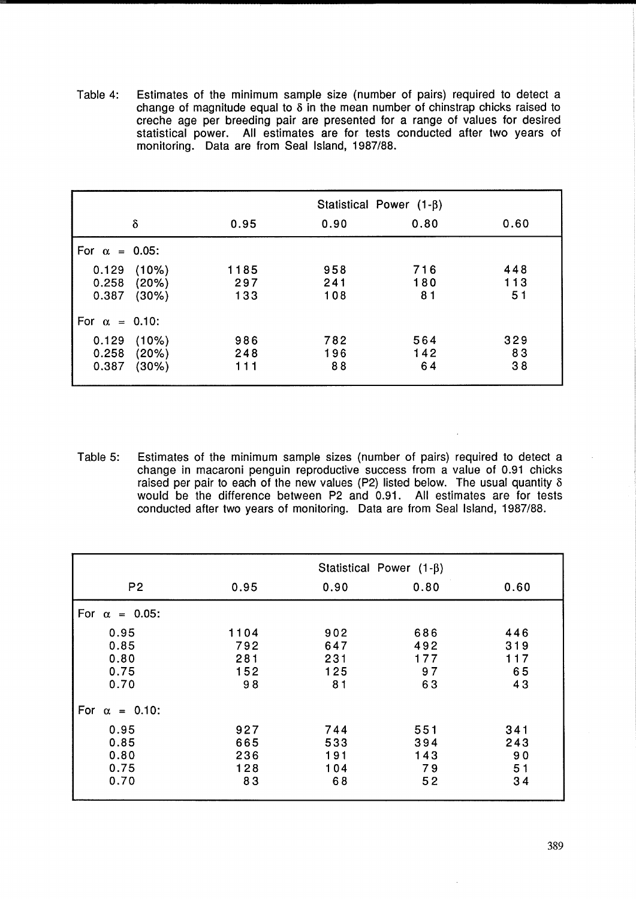Table 4: Estimates of the minimum sample size (number of pairs) required to detect a change of magnitude equal to  $\delta$  in the mean number of chinstrap chicks raised to creche age per breeding pair are presented for a range of values for desired statistical power. All estimates are for tests conducted after two years of monitoring. Data are from Seal Island, 1987/88.

|                         |                         | Statistical Power $(1-\beta)$ |                   |                  |                  |  |
|-------------------------|-------------------------|-------------------------------|-------------------|------------------|------------------|--|
|                         | δ                       | 0.95                          | 0.90              | 0.80             | 0.60             |  |
| For $\alpha = 0.05$ :   |                         |                               |                   |                  |                  |  |
| 0.129<br>0.258<br>0.387 | (10%)<br>(20%)<br>(30%) | 1185<br>297<br>133            | 958<br>241<br>108 | 716<br>180<br>81 | 448<br>113<br>51 |  |
| For $\alpha = 0.10$ :   |                         |                               |                   |                  |                  |  |
| 0.129<br>0.258<br>0.387 | (10%)<br>(20%)<br>(30%) | 986<br>248<br>111             | 782<br>196<br>88  | 564<br>142<br>64 | 329<br>83<br>38  |  |

Table 5: Estimates of the minimum sample sizes (number of pairs) required to detect a change in macaroni penguin reproductive success from a value of 0.91 chicks raised per pair to each of the new values (P2) listed below. The usual quantity  $\delta$ would be the difference between P2 and 0.91. All estimates are for tests conducted after two years of monitoring. Data are from Seal Island, 1987/88.

|                                      | Statistical Power $(1-\beta)$   |                                |                               |                               |  |
|--------------------------------------|---------------------------------|--------------------------------|-------------------------------|-------------------------------|--|
| P <sub>2</sub>                       | 0.95                            | 0.90                           | 0.80                          | 0.60                          |  |
| For $\alpha = 0.05$ :                |                                 |                                |                               |                               |  |
| 0.95<br>0.85<br>0.80<br>0.75<br>0.70 | 1104<br>792<br>281<br>152<br>98 | 902<br>647<br>231<br>125<br>81 | 686<br>492<br>177<br>97<br>63 | 446<br>319<br>117<br>65<br>43 |  |
| For $\alpha = 0.10$ :                |                                 |                                |                               |                               |  |
| 0.95<br>0.85<br>0.80<br>0.75<br>0.70 | 927<br>665<br>236<br>128<br>83  | 744<br>533<br>191<br>104<br>68 | 551<br>394<br>143<br>79<br>52 | 341<br>243<br>90<br>51<br>34  |  |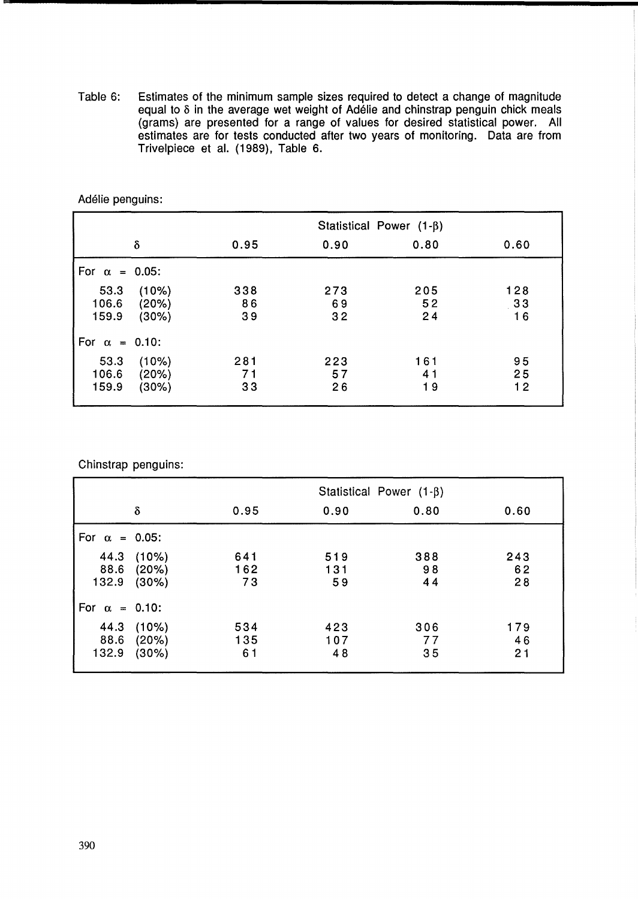Table 6: Estimates of the minimum sample sizes required to detect a change of magnitude equal to  $\delta$  in the average wet weight of Adélie and chinstrap penguin chick meals (grams) are presented for a range of values for desired statistical power. All estimates are for tests conducted after two years of monitoring. Data are from Trivelpiece et al. (1989), Table 6.

|                       |       | Statistical Power $(1-\beta)$ |      |      |      |  |
|-----------------------|-------|-------------------------------|------|------|------|--|
|                       | δ     | 0.95                          | 0.90 | 0.80 | 0.60 |  |
| For $\alpha = 0.05$ : |       |                               |      |      |      |  |
| 53.3                  | (10%) | 338                           | 273  | 205  | 128  |  |
| 106.6                 | (20%) | 86                            | 69   | 52   | 33   |  |
| 159.9                 | (30%) | 39                            | 32   | 24   | 16   |  |
| For $\alpha = 0.10$ : |       |                               |      |      |      |  |
| 53.3                  | (10%) | 281                           | 223  | 161  | 95   |  |
| 106.6                 | (20%) | 71                            | 57   | 41   | 25   |  |
| 159.9                 | (30%) | 33                            | 26   | 19   | 12   |  |

Adelie penguins:

Chinstrap penguins:

|                       |                         | Statistical Power $(1-\beta)$ |                  |                 |                 |  |
|-----------------------|-------------------------|-------------------------------|------------------|-----------------|-----------------|--|
|                       | $\delta$                | 0.95                          | 0.90             | 0.80            | 0.60            |  |
| For $\alpha = 0.05$ : |                         |                               |                  |                 |                 |  |
| 44.3<br>88.6<br>132.9 | (10%)<br>(20%)<br>(30%) | 641<br>162<br>73              | 519<br>131<br>59 | 388<br>98<br>44 | 243<br>62<br>28 |  |
| For $\alpha = 0.10$ : |                         |                               |                  |                 |                 |  |
| 44.3<br>88.6<br>132.9 | (10%)<br>(20%)<br>(30%) | 534<br>135<br>61              | 423<br>107<br>48 | 306<br>77<br>35 | 179<br>46<br>21 |  |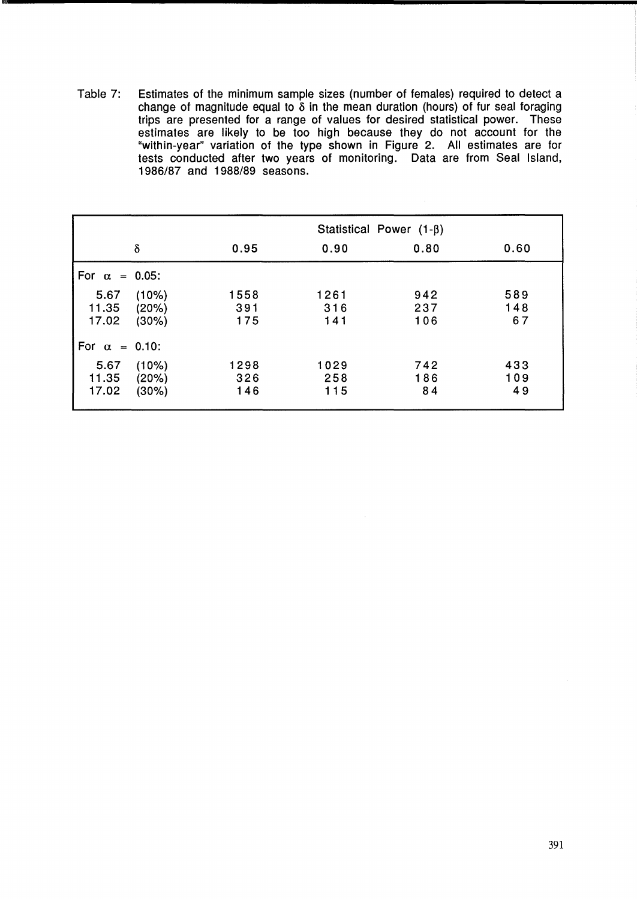Table 7: Estimates of the minimum sample sizes (number of females) required to detect a change of magnitude equal to  $\delta$  in the mean duration (hours) of fur seal foraging trips are presented for a range of values for desired statistical power. These estimates are likely to be too high because they do not account for the "within-year" variation of the type shown in Figure 2. All estimates are for tests conducted after two years of monitoring. Data are from Seal Island, 1986/87 and 1988/89 seasons.

|                        |                         | Statistical Power $(1-\beta)$ |                    |                   |                  |  |
|------------------------|-------------------------|-------------------------------|--------------------|-------------------|------------------|--|
|                        | $\delta$                | 0.95                          | 0.90               | 0.80              | 0.60             |  |
| For $\alpha = 0.05$ :  |                         |                               |                    |                   |                  |  |
| 5.67<br>11.35<br>17.02 | (10%)<br>(20%)<br>(30%) | 1558<br>391<br>175            | 1261<br>316<br>141 | 942<br>237<br>106 | 589<br>148<br>67 |  |
| For $\alpha = 0.10$ :  |                         |                               |                    |                   |                  |  |
| 5.67<br>11.35<br>17.02 | (10%)<br>(20%)<br>(30%) | 1298<br>326<br>146            | 1029<br>258<br>115 | 742<br>186<br>84  | 433<br>109<br>49 |  |

 $\mathcal{L}$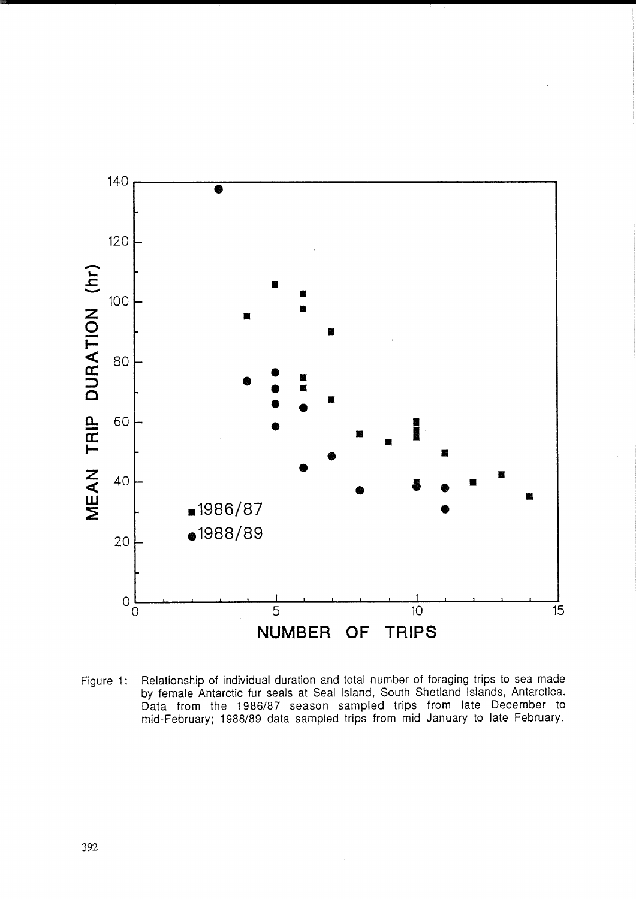

Figure 1: Relationship of individual duration and total number of foraging trips to sea made by female Antarctic fur seals at Seal Island, South Shetland Islands, Antarctica. Data from the 1986/87 season sampled trips from late December to mid-February; 1988/89 data sampled trips from mid January to late February.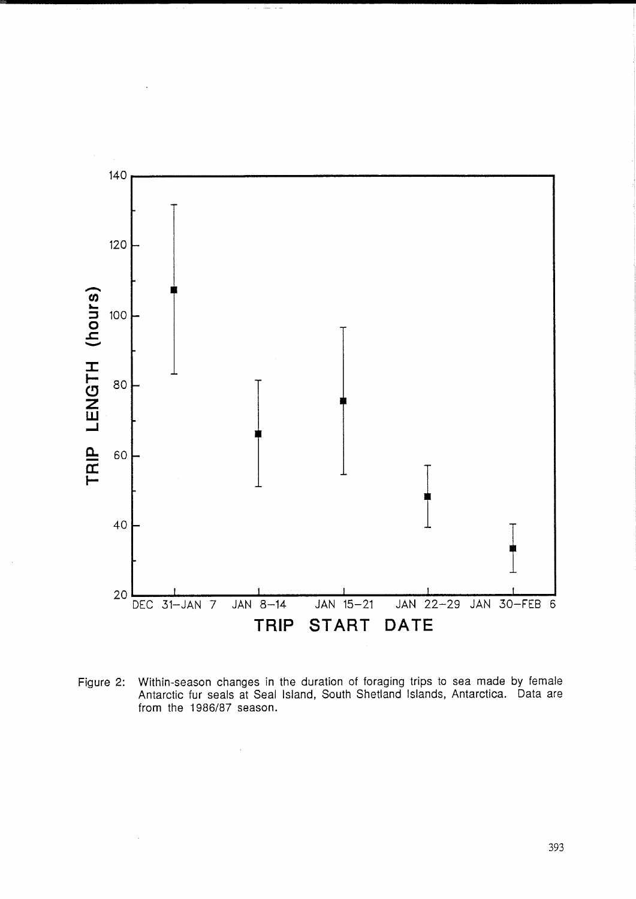

Figure 2: Within-season changes in the duration of foraging trips to sea made by female Antarctic fur seals at Seal Island, South Shetland Islands, Antarctica. Data are from the 1986/87 season.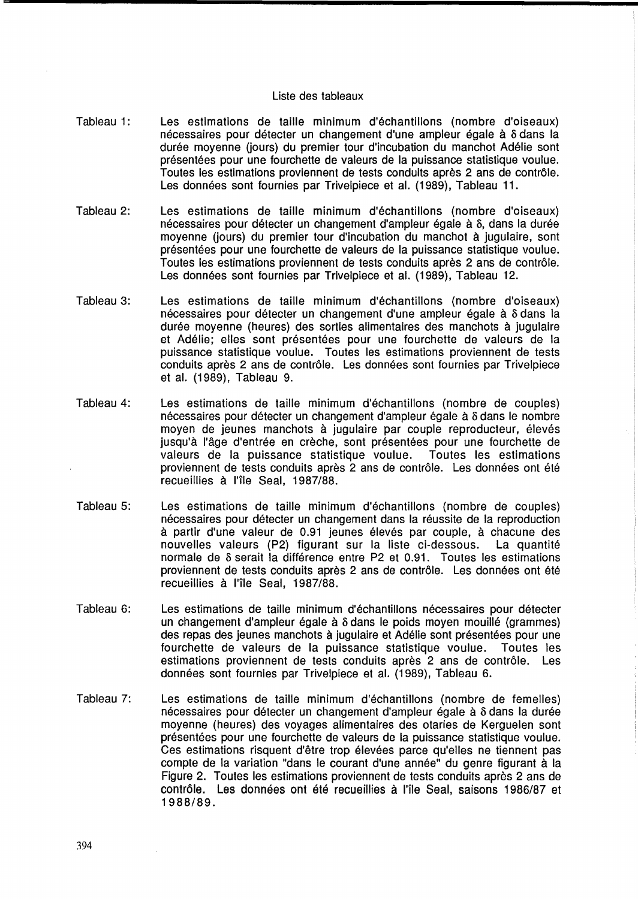### Liste des tableaux

- Tableau 1: Les estimations de taille minimum d'échantillons (nombre d'oiseaux) nécessaires pour détecter un changement d'une ampleur égale à 8 dans la durée moyenne (jours) du premier tour d'incubation du manchot Adélie sont presentees pour une fourchette de valeurs de la puissance statistique voulue. Toutes les estimations proviennent de tests conduits après 2 ans de contrôle. Les données sont fournies par Trivelpiece et al. (1989), Tableau 11.
- Tableau 2: Les estimations de taille minimum d'échantillons (nombre d'oiseaux) nécessaires pour détecter un changement d'ampleur égale à 8, dans la durée moyenne (jours) du premier tour d'incubation du manchot a jugulaire, sont presentees pour une fourchette de valeurs de la puissance statistique voulue. Toutes les estimations proviennent de tests conduits après 2 ans de contrôle. Les données sont fournies par Trivelpiece et al. (1989), Tableau 12.
- Tableau 3: Les estimations de taille minimum d'echantillons (nombre d'oiseaux) nécessaires pour détecter un changement d'une ampleur égale à 8 dans la durée moyenne (heures) des sorties alimentaires des manchots à jugulaire et Adélie; elles sont présentées pour une fourchette de valeurs de la puissance statistique voulue. Toutes les estimations proviennent de tests conduits après 2 ans de contrôle. Les données sont fournies par Trivelpiece et al. (1989), Tableau 9.
- Tableau 4: Les estimations de taille minimum d'échantillons (nombre de couples) nécessaires pour détecter un changement d'ampleur égale à 8 dans le nombre moyen de jeunes manchots à jugulaire par couple reproducteur, élevés jusqu'à l'âge d'entrée en crèche, sont présentées pour une fourchette de valeurs de la puissance statistique voulue. Toutes les estimations proviennent de tests conduits après 2 ans de contrôle. Les données ont été recueillies à l'île Seal, 1987/88.
- Tableau 5: Les estimations de taille minimum d'echantillons (nombre de couples) nécessaires pour détecter un changement dans la réussite de la reproduction à partir d'une valeur de 0.91 jeunes élevés par couple, à chacune des nouvelles valeurs (P2) figurant sur la Iiste ci-dessous. La quantite normale de  $\delta$  serait la différence entre P2 et 0.91. Toutes les estimations proviennent de tests conduits après 2 ans de contrôle. Les données ont été recueillies à l'île Seal, 1987/88.
- Tableau 6: Les estimations de taille minimum d'échantillons nécessaires pour détecter un changement d'ampleur égale à  $\delta$  dans le poids moyen mouillé (grammes) des repas des jeunes manchots à jugulaire et Adélie sont présentées pour une fourchette de valeurs de la puissance statistique voulue. Toutes les estimations proviennent de tests conduits après 2 ans de contrôle. Les donnees sont fournies par Trivelpiece et al. (1989), Tableau 6.
- Tableau 7: Les estimations de taille minimum d'échantillons (nombre de femelles) nécessaires pour détecter un changement d'ampleur égale à 8 dans la durée moyenne (heures) des voyages alimentaires des otaries de Kerguelen sont presentees pour une fourchette de valeurs de la puissance statistique voulue. Ces estimations risquent d'être trop élevées parce qu'elles ne tiennent pas compte de la variation "dans le courant d'une année" du genre figurant à la Figure 2. Toutes les estimations proviennent de tests conduits après 2 ans de contrôle. Les données ont été recueillies à l'île Seal, saisons 1986/87 et 1988/89.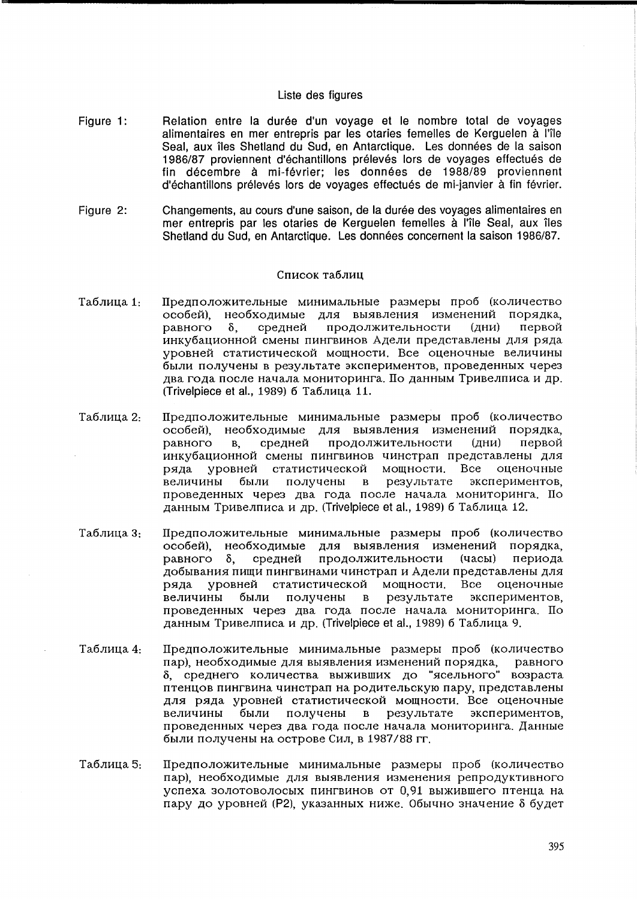### Liste des figures

- Figure 1: Relation entre la durée d'un voyage et le nombre total de voyages alimentaires en mer entrepris par les otaries femelles de Kerguelen à l'île Seal, aux îles Shetland du Sud, en Antarctique. Les données de la saison 1986/87 proviennent d'échantillons prélevés lors de vovages effectués de fin decembre a mi-fevrier; les donnees de 1988/89 proviennent d'échantillons prélevés lors de voyages effectués de mi-janvier à fin février.
- Figure 2: Changements, au cours d'une saison, de la durée des voyages alimentaires en mer entrepris par les otaries de Kerguelen femelles à l'île Seal, aux îles Shetland du Sud, en Antarctique. Les données concernent la saison 1986/87.

### Список таблиц

- Таблица 1: Предположительные минимальные размеры проб (количество  $\alpha$ особей), необходимые для выявления изменений порядка, равного δ, средней продолжительности (дни) первой инкубационной смены пингвинов Адели представлены для ряда уровней статистической мощности. Все оценочные величины были получены в результате экспериментов, проведенных через два года после начала мониторинга. По данным Тривелписа и др. (Trivelpiece et al., 1989) б Таблица 11.
- Таблина 2. Предположительные минимальные размеры проб (количество особей), необходимые для выявления изменений порядка, равного в, средней продолжительности (дни) первой инкубационной смены пингвинов чинстрап представлены для ряда уровней статистической мощности. Все оценочные величины были получены в результате экспериментов, проведенных через два года после начала мониторинга. По данным Тривелписа и др. (Trivelpiece et al., 1989) 6 Таблица 12.
- Таблица 3: Предположительные минимальные размеры проб (количество особей), необходимые для выявления изменений порядка, равного  $\delta$ , средней продолжительности (часы) периода добывания пищи пингвинами чинстрап и Адели представлены для ряда уровней статистической мощности. Все оценочные величины были получены в результате экспериментов, проведенных через два года после начала мониторинга. По данным Тривелписа и др. (Trivelpiece et al., 1989) 6 Таблица 9.
- Таблица 4: Предположительные минимальные размеры проб (количество пар), необходимые для выявления изменений порядка, равного  $\delta$ , среднего количества выживших до "ясельного" возраста птенцов пингвина чинстрап на родительскую пару, представлены для ряда уровней статистической мощности. Все оценочные величины были получены в результате экспериментов, проведенных через два года после начала мониторинга. Данные 6bIJIH nOJIyqeHbI Ha OCTpOBe CHJI, B 1987/88 rr.
- Таблица 5: Предположительные минимальные размеры проб (количество пар), необходимые для выявления изменения репродуктивного успеха золотоволосых пингвинов от 0.91 выжившего птенца на пару до уровней (P2), указанных ниже. Обычно значение 8 будет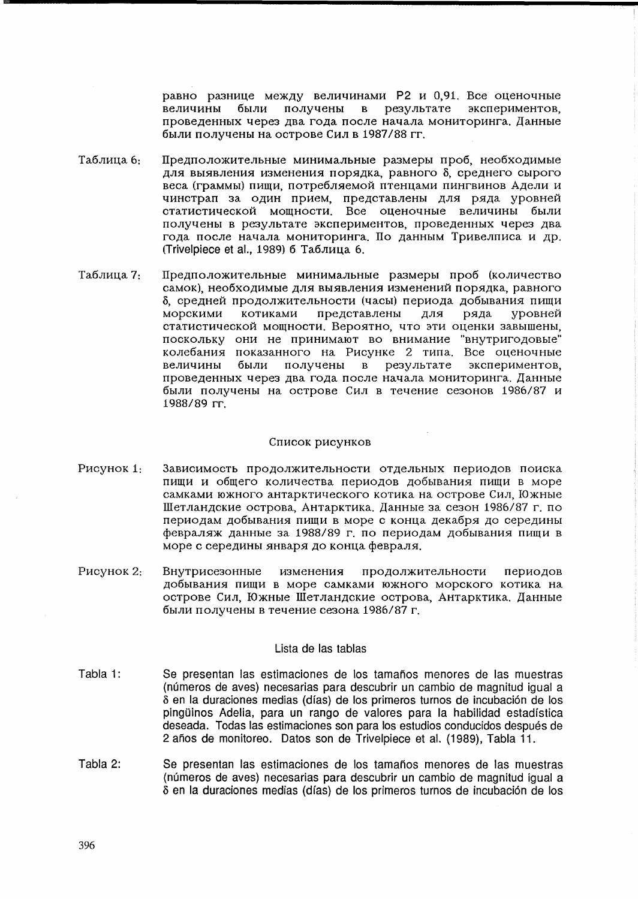равно разнице между величинами P2 и 0,91. Все оценочные величины были получены в результате экспериментов, проведенных через два года после начала мониторинга. Данные были получены на острове Сил в 1987/88 гг.

- Таблица 6:  $\Pi$ редположительные минимальные размеры проб, необходимые для выявления изменения порядка, равного 8, среднего сырого веса (граммы) пищи, потребляемой птенцами пингвинов Адели и чинстрап за один прием, представлены для ряда уровней cтатистической мощности. Все оценочные величины были получены в результате экспериментов, проведенных через два года после начала мониторинга. По данным Тривелписа и др. (Trivelpiece et al., 1989) б Таблица 6.
- Таблица 7: Предположительные минимальные размеры проб (количество самок), необходимые для выявления изменений порядка, равного δ, средней продолжительности (часы) периода добывания пищи<br>морскими котиками представлены для ряда vровней морскими котиками представлены для ряда статистической мощности. Вероятно, что эти оценки завышены, поскольку они не принимают во внимание "внутригодовые" колебания показанного на Рисунке 2 типа. Все оценочные величины были получены в результате экспериментов, проведенных через два года после начала мониторинга. Данные были получены на острове Сил в течение сезонов 1986/87 и 1988/89 rr.

#### Список рисунков

- P<sub>HCVHOK</sub> 1: Зависимость продолжительности отдельных периодов поиска пищи и общего количества периодов добывания пищи в море самками южного антарктического котика на острове Сил, Южные Шетландские острова, Антарктика. Данные за сезон 1986/87 г. по периодам добывания пищи в море с конца декабря до середины февраляж данные за 1988/89 г. по периодам добывания пиши в море с середины января до конца февраля.
- PHCYHOK 2: Внутрисезонные изменения продолжительности периодов добывания пиши в море самками южного морского котика на острове Сил, Южные Шетландские острова, Антарктика. Данные были получены в течение сезона 1986/87 г.

### Lista de las tablas

- Tabla 1: Se presentan las estimaciones de los tamaños menores de las muestras (numeros de ayes) necesarias para descubrir un cambio de magnitud igual a o en la duraciones medias (dfas) de los primeros turnos de incubacion de los pingüinos Adelia, para un rango de valores para la habilidad estadística deseada. Todas las estimaciones son para los estudios conducidos despues de 2 años de monitoreo. Datos son de Trivelpiece et al. (1989), Tabla 11.
- Tabla 2: Se presentan las estimaciones de los tamaños menores de las muestras (numeros de ayes) necesarias para descubrir un cambio de magnitud igual a o en la duraciones medias (dfas) de los primeros turnos de incubacion de los